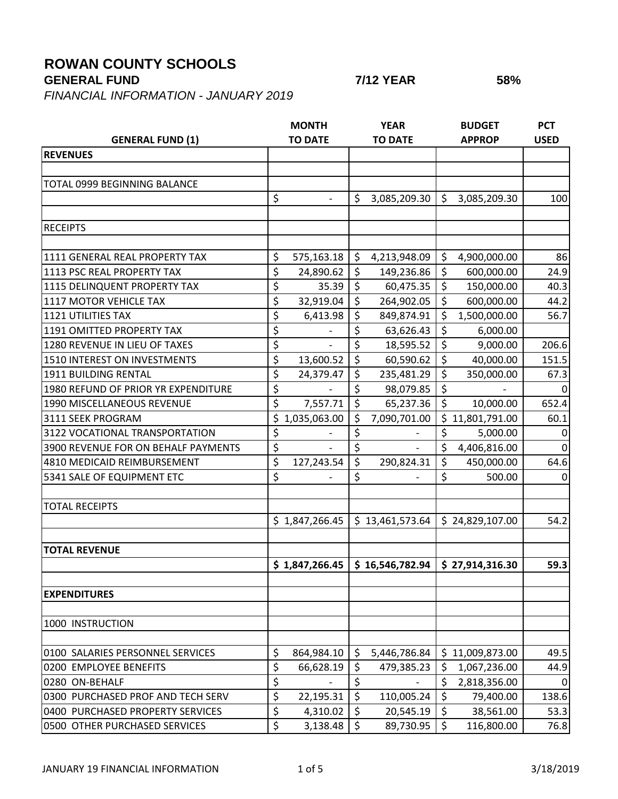## **ROWAN COUNTY SCHOOLS**

**GENERAL FUND 7/12 YEAR 58%**

*FINANCIAL INFORMATION - JANUARY 2019*

|                                     | <b>MONTH</b>                   | <b>YEAR</b>                       | <b>BUDGET</b>         | <b>PCT</b>  |
|-------------------------------------|--------------------------------|-----------------------------------|-----------------------|-------------|
| <b>GENERAL FUND (1)</b>             | <b>TO DATE</b>                 | <b>TO DATE</b>                    | <b>APPROP</b>         | <b>USED</b> |
| <b>REVENUES</b>                     |                                |                                   |                       |             |
|                                     |                                |                                   |                       |             |
| <b>TOTAL 0999 BEGINNING BALANCE</b> |                                |                                   |                       |             |
|                                     | \$<br>$\overline{\phantom{a}}$ | \$<br>3,085,209.30                | \$<br>3,085,209.30    | 100         |
|                                     |                                |                                   |                       |             |
| <b>RECEIPTS</b>                     |                                |                                   |                       |             |
|                                     |                                |                                   |                       |             |
| 1111 GENERAL REAL PROPERTY TAX      | \$<br>575,163.18               | \$<br>4,213,948.09                | \$<br>4,900,000.00    | 86          |
| 1113 PSC REAL PROPERTY TAX          | \$<br>24,890.62                | $\zeta$<br>149,236.86             | $\zeta$<br>600,000.00 | 24.9        |
| 1115 DELINQUENT PROPERTY TAX        | \$<br>35.39                    | \$<br>60,475.35                   | \$<br>150,000.00      | 40.3        |
| 1117 MOTOR VEHICLE TAX              | \$<br>32,919.04                | $\zeta$<br>264,902.05             | $\zeta$<br>600,000.00 | 44.2        |
| <b>1121 UTILITIES TAX</b>           | \$<br>6,413.98                 | \$<br>849,874.91                  | 1,500,000.00<br>\$    | 56.7        |
| 1191 OMITTED PROPERTY TAX           | \$                             | \$<br>63,626.43                   | \$<br>6,000.00        |             |
| 1280 REVENUE IN LIEU OF TAXES       | \$                             | \$<br>18,595.52                   | $\zeta$<br>9,000.00   | 206.6       |
| 1510 INTEREST ON INVESTMENTS        | \$<br>13,600.52                | \$<br>60,590.62                   | \$<br>40,000.00       | 151.5       |
| 1911 BUILDING RENTAL                | \$<br>24,379.47                | \$<br>235,481.29                  | $\zeta$<br>350,000.00 | 67.3        |
| 1980 REFUND OF PRIOR YR EXPENDITURE | \$                             | \$<br>98,079.85                   | \$                    |             |
| 1990 MISCELLANEOUS REVENUE          | \$<br>7,557.71                 | $\zeta$<br>65,237.36              | $\zeta$<br>10,000.00  | 652.4       |
| 3111 SEEK PROGRAM                   | \$1,035,063.00                 | \$<br>7,090,701.00                | \$11,801,791.00       | 60.1        |
| 3122 VOCATIONAL TRANSPORTATION      | \$                             | \$                                | \$<br>5,000.00        | 0           |
| 3900 REVENUE FOR ON BEHALF PAYMENTS | \$                             | \$                                | \$<br>4,406,816.00    | 0           |
| 4810 MEDICAID REIMBURSEMENT         | \$<br>127,243.54               | \$<br>290,824.31                  | \$<br>450,000.00      | 64.6        |
| 5341 SALE OF EQUIPMENT ETC          | \$                             | \$                                | \$<br>500.00          | 0           |
|                                     |                                |                                   |                       |             |
| <b>TOTAL RECEIPTS</b>               |                                |                                   |                       |             |
|                                     | \$1,847,266.45                 | \$13,461,573.64                   | \$24,829,107.00       | 54.2        |
|                                     |                                |                                   |                       |             |
| <b>TOTAL REVENUE</b>                |                                | $$16,546,782.94$ $$27,914,316.30$ |                       |             |
|                                     | \$1,847,266.45                 |                                   |                       | 59.3        |
| <b>EXPENDITURES</b>                 |                                |                                   |                       |             |
|                                     |                                |                                   |                       |             |
| 1000 INSTRUCTION                    |                                |                                   |                       |             |
| 0100 SALARIES PERSONNEL SERVICES    | \$<br>864,984.10               | \$<br>5,446,786.84                | \$11,009,873.00       | 49.5        |
| 0200 EMPLOYEE BENEFITS              | \$<br>66,628.19                | \$<br>479,385.23                  | \$<br>1,067,236.00    | 44.9        |
| 0280 ON-BEHALF                      | \$                             | \$                                | \$<br>2,818,356.00    | $\Omega$    |
| 0300 PURCHASED PROF AND TECH SERV   | \$<br>22,195.31                | \$<br>110,005.24                  | \$<br>79,400.00       | 138.6       |
| 0400 PURCHASED PROPERTY SERVICES    | \$<br>4,310.02                 | \$<br>20,545.19                   | \$<br>38,561.00       | 53.3        |
| 0500 OTHER PURCHASED SERVICES       | \$<br>3,138.48                 | $\zeta$<br>89,730.95              | $\zeta$<br>116,800.00 | 76.8        |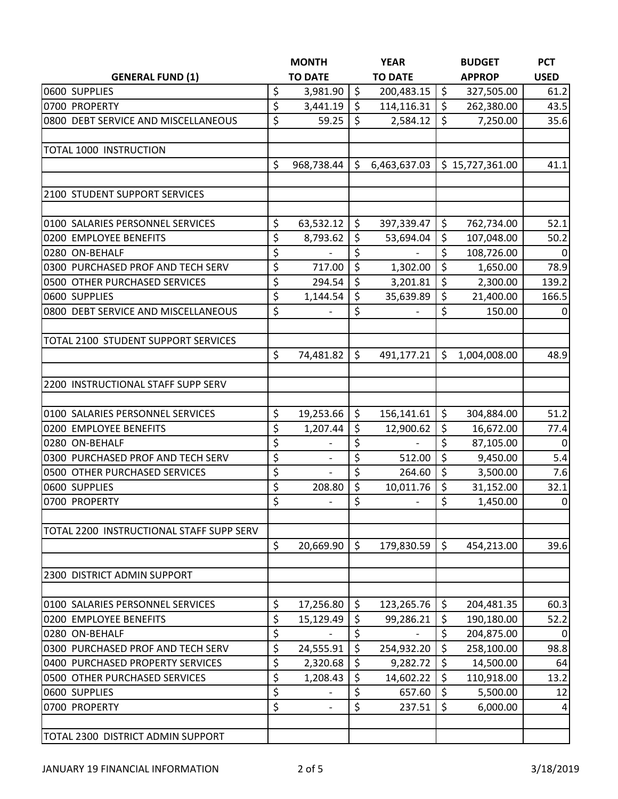|                                          |    | <b>MONTH</b>             |         | <b>YEAR</b>    |         | <b>BUDGET</b>   | <b>PCT</b>     |
|------------------------------------------|----|--------------------------|---------|----------------|---------|-----------------|----------------|
| <b>GENERAL FUND (1)</b>                  |    | <b>TO DATE</b>           |         | <b>TO DATE</b> |         | <b>APPROP</b>   | <b>USED</b>    |
| 0600 SUPPLIES                            | \$ | 3,981.90                 | $\zeta$ | 200,483.15     | \$      | 327,505.00      | 61.2           |
| 0700 PROPERTY                            | \$ | 3,441.19                 | $\zeta$ | 114,116.31     | \$      | 262,380.00      | 43.5           |
| 0800 DEBT SERVICE AND MISCELLANEOUS      | \$ | 59.25                    | \$      | 2,584.12       | \$      | 7,250.00        | 35.6           |
| TOTAL 1000 INSTRUCTION                   |    |                          |         |                |         |                 |                |
|                                          | \$ | 968,738.44               | $\zeta$ | 6,463,637.03   |         | \$15,727,361.00 | 41.1           |
| 2100 STUDENT SUPPORT SERVICES            |    |                          |         |                |         |                 |                |
| 0100 SALARIES PERSONNEL SERVICES         | \$ | 63,532.12                | $\zeta$ | 397,339.47     | \$      | 762,734.00      | 52.1           |
| 0200 EMPLOYEE BENEFITS                   | \$ | 8,793.62                 | $\zeta$ | 53,694.04      | \$      | 107,048.00      | 50.2           |
| 0280 ON-BEHALF                           | \$ |                          | \$      |                | \$      | 108,726.00      | 0              |
| 0300 PURCHASED PROF AND TECH SERV        | \$ | 717.00                   | $\zeta$ | 1,302.00       | \$      | 1,650.00        | 78.9           |
| 0500 OTHER PURCHASED SERVICES            | \$ | 294.54                   | $\zeta$ | 3,201.81       | \$      | 2,300.00        | 139.2          |
| 0600 SUPPLIES                            | \$ | 1,144.54                 | $\zeta$ | 35,639.89      | \$      | 21,400.00       | 166.5          |
| 0800 DEBT SERVICE AND MISCELLANEOUS      | \$ |                          | \$      |                | \$      | 150.00          | $\overline{0}$ |
| TOTAL 2100 STUDENT SUPPORT SERVICES      |    |                          |         |                |         |                 |                |
|                                          | \$ | 74,481.82                | $\zeta$ | 491,177.21     | \$      | 1,004,008.00    | 48.9           |
| 2200 INSTRUCTIONAL STAFF SUPP SERV       |    |                          |         |                |         |                 |                |
| 0100 SALARIES PERSONNEL SERVICES         | \$ | 19,253.66                | $\zeta$ | 156,141.61     | \$      | 304,884.00      | 51.2           |
| 0200 EMPLOYEE BENEFITS                   | \$ | 1,207.44                 | $\zeta$ | 12,900.62      | \$      | 16,672.00       | 77.4           |
| 0280 ON-BEHALF                           | \$ |                          | \$      |                | \$      | 87,105.00       | $\mathbf 0$    |
| 0300 PURCHASED PROF AND TECH SERV        | \$ |                          | \$      | 512.00         | \$      | 9,450.00        | 5.4            |
| 0500 OTHER PURCHASED SERVICES            | \$ | $\overline{\phantom{a}}$ | \$      | 264.60         | \$      | 3,500.00        | 7.6            |
| 0600 SUPPLIES                            | \$ | 208.80                   | $\zeta$ | 10,011.76      | \$      | 31,152.00       | 32.1           |
| 0700 PROPERTY                            | \$ | $\frac{1}{2}$            | \$      | $\blacksquare$ | \$      | 1,450.00        | $\overline{0}$ |
| TOTAL 2200 INSTRUCTIONAL STAFF SUPP SERV |    |                          |         |                |         |                 |                |
|                                          | \$ | 20,669.90                | $\zeta$ | 179,830.59     | $\zeta$ | 454,213.00      | 39.6           |
| 2300 DISTRICT ADMIN SUPPORT              |    |                          |         |                |         |                 |                |
| 0100 SALARIES PERSONNEL SERVICES         | \$ | 17,256.80                | \$      | 123,265.76     | \$      | 204,481.35      | 60.3           |
| 0200 EMPLOYEE BENEFITS                   | \$ | 15,129.49                | $\zeta$ | 99,286.21      | \$      | 190,180.00      | 52.2           |
| 0280 ON-BEHALF                           | \$ |                          | \$      |                | \$      | 204,875.00      | 0              |
| 0300 PURCHASED PROF AND TECH SERV        | \$ | 24,555.91                | $\zeta$ | 254,932.20     | \$      | 258,100.00      | 98.8           |
| 0400 PURCHASED PROPERTY SERVICES         | \$ | 2,320.68                 | $\zeta$ | 9,282.72       | \$      | 14,500.00       | 64             |
| 0500 OTHER PURCHASED SERVICES            | \$ | 1,208.43                 | \$      | 14,602.22      | \$      | 110,918.00      | 13.2           |
| 0600 SUPPLIES                            | \$ |                          | \$      | 657.60         | \$      | 5,500.00        | 12             |
| 0700 PROPERTY                            | \$ | $\overline{\phantom{a}}$ | \$      | 237.51         | \$      | 6,000.00        | 4              |
| TOTAL 2300 DISTRICT ADMIN SUPPORT        |    |                          |         |                |         |                 |                |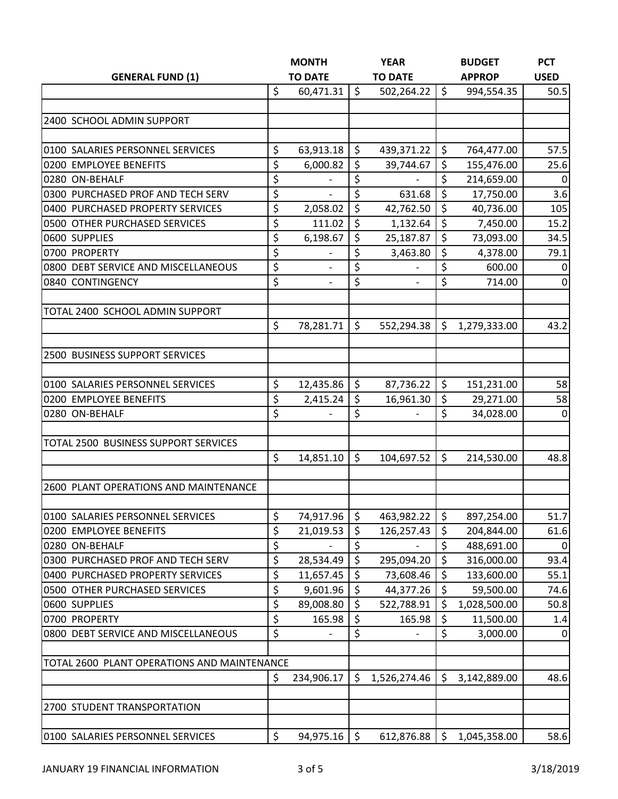| <b>GENERAL FUND (1)</b>                     |    | <b>MONTH</b><br><b>TO DATE</b> |              | <b>YEAR</b><br><b>TO DATE</b> |              | <b>BUDGET</b> | <b>PCT</b>     |
|---------------------------------------------|----|--------------------------------|--------------|-------------------------------|--------------|---------------|----------------|
|                                             |    |                                |              |                               |              | <b>APPROP</b> | <b>USED</b>    |
|                                             | \$ | 60,471.31                      | $\zeta$      | 502,264.22                    | \$           | 994,554.35    | 50.5           |
|                                             |    |                                |              |                               |              |               |                |
| 2400 SCHOOL ADMIN SUPPORT                   |    |                                |              |                               |              |               |                |
|                                             |    |                                |              |                               |              |               |                |
| 0100 SALARIES PERSONNEL SERVICES            | \$ | 63,913.18                      | $\zeta$      | 439,371.22                    | \$           | 764,477.00    | 57.5           |
| 0200 EMPLOYEE BENEFITS                      | \$ | 6,000.82                       | \$           | 39,744.67                     | \$           | 155,476.00    | 25.6           |
| 0280 ON-BEHALF                              | \$ | $\overline{\phantom{a}}$       | \$           | $\overline{\phantom{a}}$      | \$           | 214,659.00    | 0              |
| 0300 PURCHASED PROF AND TECH SERV           | \$ |                                | \$           | 631.68                        | \$           | 17,750.00     | 3.6            |
| 0400 PURCHASED PROPERTY SERVICES            | \$ | 2,058.02                       | $\zeta$      | 42,762.50                     | \$           | 40,736.00     | 105            |
| 0500 OTHER PURCHASED SERVICES               | \$ | 111.02                         | $\zeta$      | 1,132.64                      | \$           | 7,450.00      | 15.2           |
| 0600 SUPPLIES                               | \$ | 6,198.67                       | $\zeta$      | 25,187.87                     | \$           | 73,093.00     | 34.5           |
| 0700 PROPERTY                               | \$ |                                | \$           | 3,463.80                      | \$           | 4,378.00      | 79.1           |
| 0800 DEBT SERVICE AND MISCELLANEOUS         | \$ |                                | \$           |                               | \$           | 600.00        | $\overline{0}$ |
| 0840 CONTINGENCY                            | \$ | $\overline{\phantom{a}}$       | \$           | $\overline{\phantom{a}}$      | \$           | 714.00        | $\mathbf 0$    |
| TOTAL 2400 SCHOOL ADMIN SUPPORT             |    |                                |              |                               |              |               |                |
|                                             | \$ | 78,281.71                      | \$           | 552,294.38                    | $\mathsf{S}$ | 1,279,333.00  | 43.2           |
|                                             |    |                                |              |                               |              |               |                |
| 2500 BUSINESS SUPPORT SERVICES              |    |                                |              |                               |              |               |                |
| 0100 SALARIES PERSONNEL SERVICES            | \$ | 12,435.86                      | \$           | 87,736.22                     | \$           | 151,231.00    | 58             |
| 0200 EMPLOYEE BENEFITS                      | \$ | 2,415.24                       | $\zeta$      | 16,961.30                     | \$           | 29,271.00     | 58             |
| 0280 ON-BEHALF                              | \$ |                                | \$           |                               | \$           | 34,028.00     | 0              |
|                                             |    |                                |              |                               |              |               |                |
| TOTAL 2500 BUSINESS SUPPORT SERVICES        |    |                                |              |                               |              |               |                |
|                                             | \$ | 14,851.10                      | \$           | 104,697.52                    | \$           | 214,530.00    | 48.8           |
| 2600 PLANT OPERATIONS AND MAINTENANCE       |    |                                |              |                               |              |               |                |
|                                             |    |                                |              |                               |              |               |                |
| 0100 SALARIES PERSONNEL SERVICES            | \$ | 74,917.96                      | \$           | 463,982.22                    | \$           | 897,254.00    | 51.7           |
| 0200 EMPLOYEE BENEFITS                      | \$ | 21,019.53                      | \$           | 126,257.43                    | \$           | 204,844.00    | 61.6           |
| 0280 ON-BEHALF                              | \$ |                                | \$           |                               | \$           | 488,691.00    | $\overline{0}$ |
| 0300 PURCHASED PROF AND TECH SERV           | \$ | 28,534.49                      | \$           | 295,094.20                    | \$           | 316,000.00    | 93.4           |
| 0400 PURCHASED PROPERTY SERVICES            | \$ | 11,657.45                      | $\zeta$      | 73,608.46                     | \$           | 133,600.00    | 55.1           |
| 0500 OTHER PURCHASED SERVICES               | \$ | 9,601.96                       | \$           | 44,377.26                     | \$           | 59,500.00     | 74.6           |
| 0600 SUPPLIES                               | \$ | 89,008.80                      | \$           | 522,788.91                    | \$           | 1,028,500.00  | 50.8           |
| 0700 PROPERTY                               | \$ | 165.98                         | \$           | 165.98                        | \$           | 11,500.00     | 1.4            |
| 0800 DEBT SERVICE AND MISCELLANEOUS         | \$ |                                | \$           | $\overline{\phantom{0}}$      | \$           | 3,000.00      | $\overline{0}$ |
| TOTAL 2600 PLANT OPERATIONS AND MAINTENANCE |    |                                |              |                               |              |               |                |
|                                             | \$ | 234,906.17                     | $\mathsf{S}$ | 1,526,274.46                  | Ŝ.           | 3,142,889.00  | 48.6           |
| 2700 STUDENT TRANSPORTATION                 |    |                                |              |                               |              |               |                |
|                                             |    |                                |              |                               |              |               |                |
| 0100 SALARIES PERSONNEL SERVICES            | \$ | 94,975.16                      | $\zeta$      | 612,876.88                    | l \$         | 1,045,358.00  | 58.6           |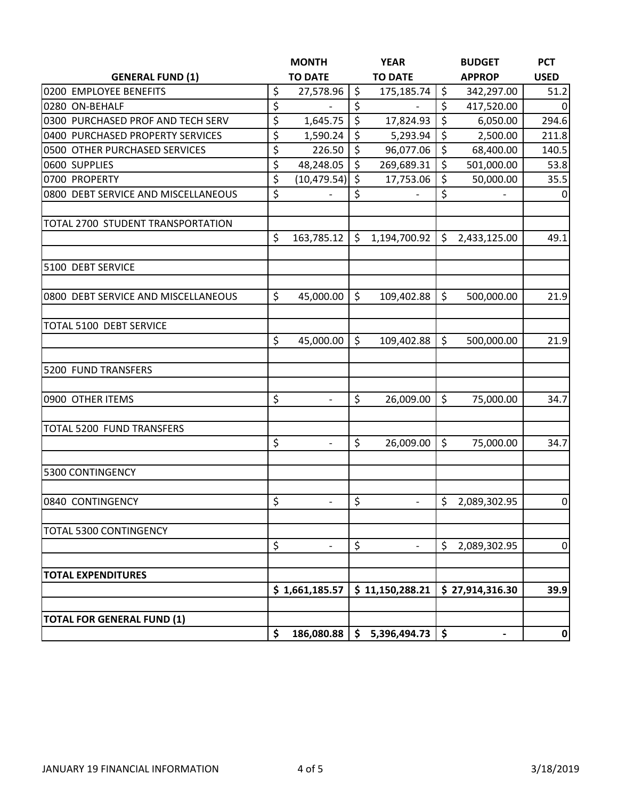|                                     | <b>MONTH</b>                   |         | <b>YEAR</b>              | <b>BUDGET</b>      | <b>PCT</b>  |
|-------------------------------------|--------------------------------|---------|--------------------------|--------------------|-------------|
| <b>GENERAL FUND (1)</b>             | <b>TO DATE</b>                 |         | <b>TO DATE</b>           | <b>APPROP</b>      | <b>USED</b> |
| 0200 EMPLOYEE BENEFITS              | \$<br>27,578.96                | $\zeta$ | 175,185.74               | \$<br>342,297.00   | 51.2        |
| 0280 ON-BEHALF                      | \$                             | \$      |                          | \$<br>417,520.00   | 0           |
| 0300 PURCHASED PROF AND TECH SERV   | \$<br>1,645.75                 | $\zeta$ | 17,824.93                | \$<br>6,050.00     | 294.6       |
| 0400 PURCHASED PROPERTY SERVICES    | \$<br>1,590.24                 | $\zeta$ | 5,293.94                 | \$<br>2,500.00     | 211.8       |
| 0500 OTHER PURCHASED SERVICES       | \$<br>226.50                   | $\zeta$ | 96,077.06                | \$<br>68,400.00    | 140.5       |
| 0600 SUPPLIES                       | \$<br>48,248.05                | $\zeta$ | 269,689.31               | \$<br>501,000.00   | 53.8        |
| 0700 PROPERTY                       | \$<br>(10, 479.54)             | \$      | 17,753.06                | \$<br>50,000.00    | 35.5        |
| 0800 DEBT SERVICE AND MISCELLANEOUS | \$                             | \$      |                          | \$                 | $\mathbf 0$ |
| TOTAL 2700 STUDENT TRANSPORTATION   |                                |         |                          |                    |             |
|                                     | \$<br>163,785.12               | \$      | 1,194,700.92             | \$<br>2,433,125.00 | 49.1        |
| 5100 DEBT SERVICE                   |                                |         |                          |                    |             |
| 0800 DEBT SERVICE AND MISCELLANEOUS | \$<br>45,000.00                | \$      | 109,402.88               | \$<br>500,000.00   | 21.9        |
| TOTAL 5100 DEBT SERVICE             |                                |         |                          |                    |             |
|                                     | \$<br>45,000.00                | $\zeta$ | 109,402.88               | \$<br>500,000.00   | 21.9        |
| 5200 FUND TRANSFERS                 |                                |         |                          |                    |             |
| 0900 OTHER ITEMS                    | \$<br>$\blacksquare$           | \$      | 26,009.00                | \$<br>75,000.00    | 34.7        |
| TOTAL 5200 FUND TRANSFERS           |                                |         |                          |                    |             |
|                                     | \$                             | \$      | 26,009.00                | \$<br>75,000.00    | 34.7        |
| 5300 CONTINGENCY                    |                                |         |                          |                    |             |
| 0840 CONTINGENCY                    | \$<br>$\overline{\phantom{a}}$ | \$      | $\overline{\phantom{a}}$ | \$<br>2,089,302.95 | $\pmb{0}$   |
| TOTAL 5300 CONTINGENCY              |                                |         |                          |                    |             |
|                                     | \$                             | \$      |                          | \$<br>2,089,302.95 | $\pmb{0}$   |
| <b>TOTAL EXPENDITURES</b>           |                                |         |                          |                    |             |
|                                     | \$1,661,185.57                 |         | \$11,150,288.21          | \$27,914,316.30    | 39.9        |
| <b>TOTAL FOR GENERAL FUND (1)</b>   |                                |         |                          |                    |             |
|                                     | \$<br>186,080.88               | \$      | 5,396,494.73             | \$<br>-            | $\mathbf 0$ |